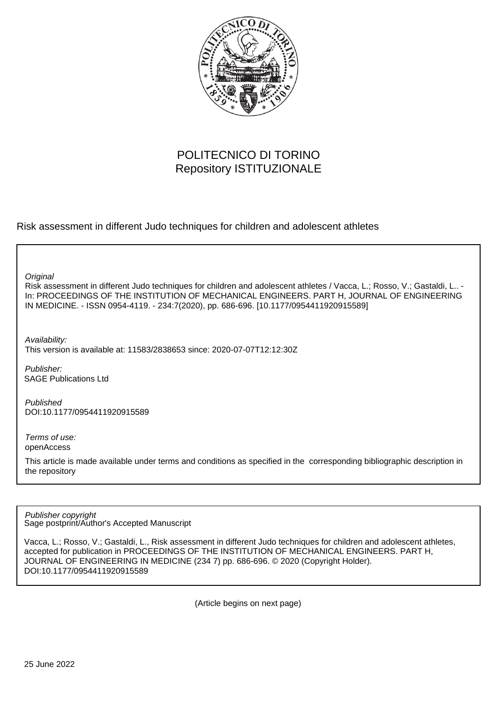

# POLITECNICO DI TORINO Repository ISTITUZIONALE

Risk assessment in different Judo techniques for children and adolescent athletes

**Original** 

Risk assessment in different Judo techniques for children and adolescent athletes / Vacca, L.; Rosso, V.; Gastaldi, L.. - In: PROCEEDINGS OF THE INSTITUTION OF MECHANICAL ENGINEERS. PART H, JOURNAL OF ENGINEERING IN MEDICINE. - ISSN 0954-4119. - 234:7(2020), pp. 686-696. [10.1177/0954411920915589]

Availability: This version is available at: 11583/2838653 since: 2020-07-07T12:12:30Z

Publisher: SAGE Publications Ltd

Published DOI:10.1177/0954411920915589

Terms of use: openAccess

This article is made available under terms and conditions as specified in the corresponding bibliographic description in the repository

Sage postprint/Author's Accepted Manuscript Publisher copyright

Vacca, L.; Rosso, V.; Gastaldi, L., Risk assessment in different Judo techniques for children and adolescent athletes, accepted for publication in PROCEEDINGS OF THE INSTITUTION OF MECHANICAL ENGINEERS. PART H, JOURNAL OF ENGINEERING IN MEDICINE (234 7) pp. 686-696. © 2020 (Copyright Holder). DOI:10.1177/0954411920915589

(Article begins on next page)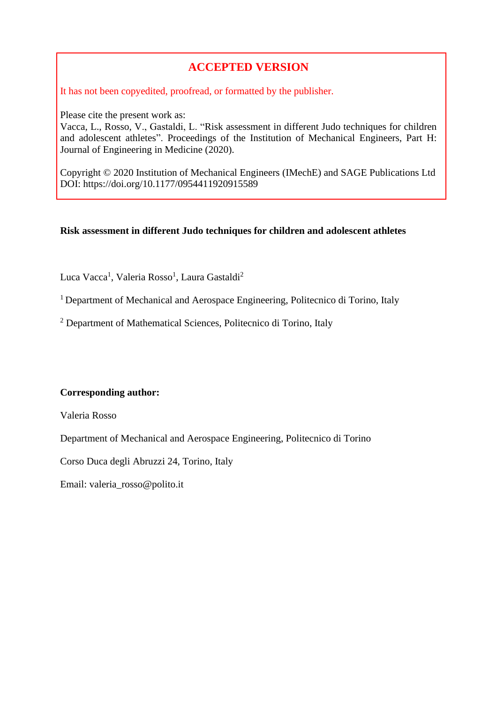# **ACCEPTED VERSION**

It has not been copyedited, proofread, or formatted by the publisher.

Please cite the present work as:

Vacca, L., Rosso, V., Gastaldi, L. "Risk assessment in different Judo techniques for children and adolescent athletes". Proceedings of the Institution of Mechanical Engineers, Part H: Journal of Engineering in Medicine (2020).

Copyright © 2020 Institution of Mechanical Engineers (IMechE) and SAGE Publications Ltd DOI: https://doi.org/10.1177/0954411920915589

# **Risk assessment in different Judo techniques for children and adolescent athletes**

Luca Vacca<sup>1</sup>, Valeria Rosso<sup>1</sup>, Laura Gastaldi<sup>2</sup>

<sup>1</sup> Department of Mechanical and Aerospace Engineering, Politecnico di Torino, Italy

<sup>2</sup> Department of Mathematical Sciences, Politecnico di Torino, Italy

# **Corresponding author:**

Valeria Rosso

Department of Mechanical and Aerospace Engineering, Politecnico di Torino

Corso Duca degli Abruzzi 24, Torino, Italy

Email: valeria\_rosso@polito.it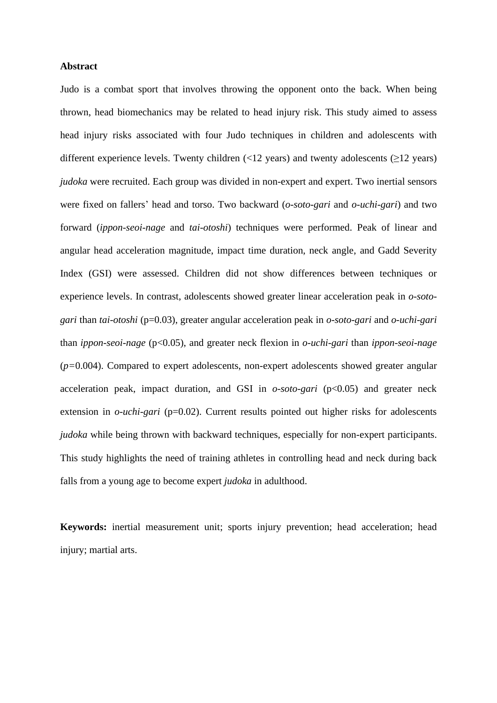## **Abstract**

Judo is a combat sport that involves throwing the opponent onto the back. When being thrown, head biomechanics may be related to head injury risk. This study aimed to assess head injury risks associated with four Judo techniques in children and adolescents with different experience levels. Twenty children  $\left($  <12 years) and twenty adolescents  $\left( \geq$  12 years) *judoka* were recruited. Each group was divided in non-expert and expert. Two inertial sensors were fixed on fallers' head and torso. Two backward (*o-soto-gari* and *o-uchi-gari*) and two forward (*ippon-seoi-nage* and *tai-otoshi*) techniques were performed. Peak of linear and angular head acceleration magnitude, impact time duration, neck angle, and Gadd Severity Index (GSI) were assessed. Children did not show differences between techniques or experience levels. In contrast, adolescents showed greater linear acceleration peak in *o-sotogari* than *tai-otoshi* (p=0.03), greater angular acceleration peak in *o-soto-gari* and *o-uchi-gari* than *ippon-seoi-nage* (p<0.05), and greater neck flexion in *o-uchi-gari* than *ippon-seoi-nage* (*p=*0.004). Compared to expert adolescents, non-expert adolescents showed greater angular acceleration peak, impact duration, and GSI in *o-soto-gari* (p<0.05) and greater neck extension in *o-uchi-gari* (p=0.02). Current results pointed out higher risks for adolescents *judoka* while being thrown with backward techniques, especially for non-expert participants. This study highlights the need of training athletes in controlling head and neck during back falls from a young age to become expert *judoka* in adulthood.

**Keywords:** inertial measurement unit; sports injury prevention; head acceleration; head injury; martial arts.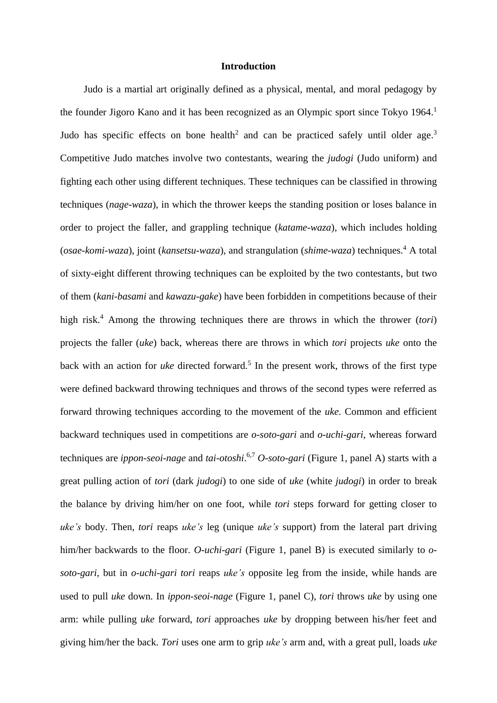## **Introduction**

Judo is a martial art originally defined as a physical, mental, and moral pedagogy by the founder Jigoro Kano and it has been recognized as an Olympic sport since Tokyo 1964.<sup>1</sup> Judo has specific effects on bone health<sup>2</sup> and can be practiced safely until older age.<sup>3</sup> Competitive Judo matches involve two contestants, wearing the *judogi* (Judo uniform) and fighting each other using different techniques. These techniques can be classified in throwing techniques (*nage-waza*), in which the thrower keeps the standing position or loses balance in order to project the faller, and grappling technique (*katame-waza*), which includes holding (*osae-komi-waza*), joint (*kansetsu-waza*), and strangulation (*shime-waza*) techniques. <sup>4</sup> A total of sixty-eight different throwing techniques can be exploited by the two contestants, but two of them (*kani-basami* and *kawazu-gake*) have been forbidden in competitions because of their high risk.<sup>4</sup> Among the throwing techniques there are throws in which the thrower (*tori*) projects the faller (*uke*) back, whereas there are throws in which *tori* projects *uke* onto the back with an action for *uke* directed forward. 5 In the present work, throws of the first type were defined backward throwing techniques and throws of the second types were referred as forward throwing techniques according to the movement of the *uke*. Common and efficient backward techniques used in competitions are *o-soto-gari* and *o-uchi-gari*, whereas forward techniques are *ippon-seoi-nage* and *tai-otoshi*. 6,7 *O-soto-gari* (Figure 1, panel A) starts with a great pulling action of *tori* (dark *judogi*) to one side of *uke* (white *judogi*) in order to break the balance by driving him/her on one foot, while *tori* steps forward for getting closer to *uke's* body. Then, *tori* reaps *uke's* leg (unique *uke's* support) from the lateral part driving him/her backwards to the floor. *O-uchi-gari* (Figure 1, panel B) is executed similarly to *osoto-gari*, but in *o-uchi-gari tori* reaps *uke's* opposite leg from the inside, while hands are used to pull *uke* down. In *ippon-seoi-nage* (Figure 1, panel C), *tori* throws *uke* by using one arm: while pulling *uke* forward, *tori* approaches *uke* by dropping between his/her feet and giving him/her the back. *Tori* uses one arm to grip *uke's* arm and, with a great pull, loads *uke*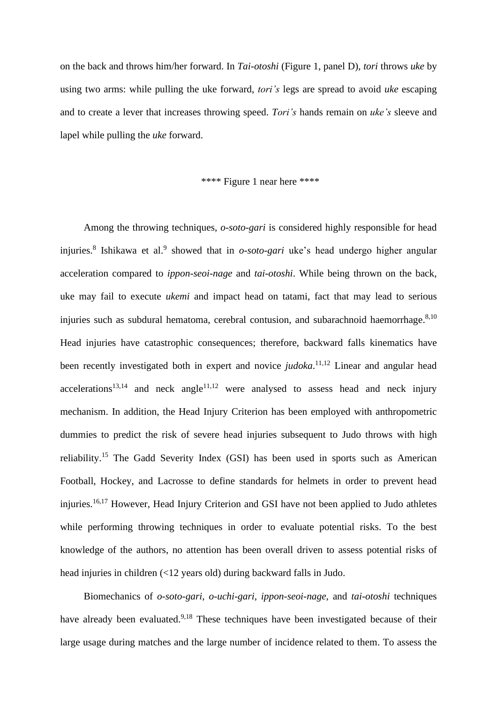on the back and throws him/her forward. In *Tai-otoshi* (Figure 1, panel D), *tori* throws *uke* by using two arms: while pulling the uke forward, *tori's* legs are spread to avoid *uke* escaping and to create a lever that increases throwing speed. *Tori's* hands remain on *uke's* sleeve and lapel while pulling the *uke* forward.

# \*\*\*\* Figure 1 near here \*\*\*\*

Among the throwing techniques, *o-soto-gari* is considered highly responsible for head injuries.<sup>8</sup> Ishikawa et al.<sup>9</sup> showed that in *o-soto-gari* uke's head undergo higher angular acceleration compared to *ippon-seoi-nage* and *tai-otoshi*. While being thrown on the back, uke may fail to execute *ukemi* and impact head on tatami, fact that may lead to serious injuries such as subdural hematoma, cerebral contusion, and subarachnoid haemorrhage.<sup>8,10</sup> Head injuries have catastrophic consequences; therefore, backward falls kinematics have been recently investigated both in expert and novice *judoka*. 11,12 Linear and angular head accelerations<sup>13,14</sup> and neck angle<sup>11,12</sup> were analysed to assess head and neck injury mechanism. In addition, the Head Injury Criterion has been employed with anthropometric dummies to predict the risk of severe head injuries subsequent to Judo throws with high reliability.<sup>15</sup> The Gadd Severity Index (GSI) has been used in sports such as American Football, Hockey, and Lacrosse to define standards for helmets in order to prevent head injuries.<sup>16,17</sup> However, Head Injury Criterion and GSI have not been applied to Judo athletes while performing throwing techniques in order to evaluate potential risks. To the best knowledge of the authors, no attention has been overall driven to assess potential risks of head injuries in children (<12 years old) during backward falls in Judo.

Biomechanics of *o-soto-gari*, *o-uchi-gari*, *ippon-seoi-nage*, and *tai-otoshi* techniques have already been evaluated.<sup>9,18</sup> These techniques have been investigated because of their large usage during matches and the large number of incidence related to them. To assess the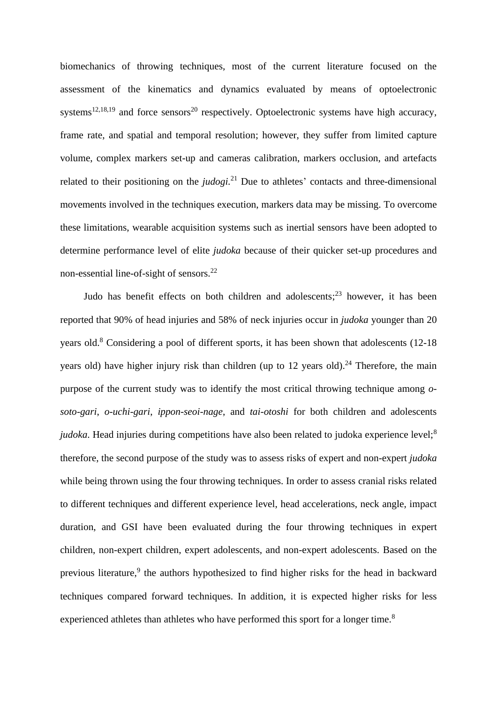biomechanics of throwing techniques, most of the current literature focused on the assessment of the kinematics and dynamics evaluated by means of optoelectronic systems<sup>12,18,19</sup> and force sensors<sup>20</sup> respectively. Optoelectronic systems have high accuracy, frame rate, and spatial and temporal resolution; however, they suffer from limited capture volume, complex markers set-up and cameras calibration, markers occlusion, and artefacts related to their positioning on the *judogi*.<sup>21</sup> Due to athletes' contacts and three-dimensional movements involved in the techniques execution, markers data may be missing. To overcome these limitations, wearable acquisition systems such as inertial sensors have been adopted to determine performance level of elite *judoka* because of their quicker set-up procedures and non-essential line-of-sight of sensors.<sup>22</sup>

Judo has benefit effects on both children and adolescents; <sup>23</sup> however, it has been reported that 90% of head injuries and 58% of neck injuries occur in *judoka* younger than 20 years old.<sup>8</sup> Considering a pool of different sports, it has been shown that adolescents (12-18) years old) have higher injury risk than children (up to 12 years old).<sup>24</sup> Therefore, the main purpose of the current study was to identify the most critical throwing technique among *osoto-gari*, *o-uchi-gari*, *ippon-seoi-nage*, and *tai-otoshi* for both children and adolescents *judoka*. Head injuries during competitions have also been related to judoka experience level;<sup>8</sup> therefore, the second purpose of the study was to assess risks of expert and non-expert *judoka* while being thrown using the four throwing techniques. In order to assess cranial risks related to different techniques and different experience level, head accelerations, neck angle, impact duration, and GSI have been evaluated during the four throwing techniques in expert children, non-expert children, expert adolescents, and non-expert adolescents. Based on the previous literature,<sup>9</sup> the authors hypothesized to find higher risks for the head in backward techniques compared forward techniques. In addition, it is expected higher risks for less experienced athletes than athletes who have performed this sport for a longer time.<sup>8</sup>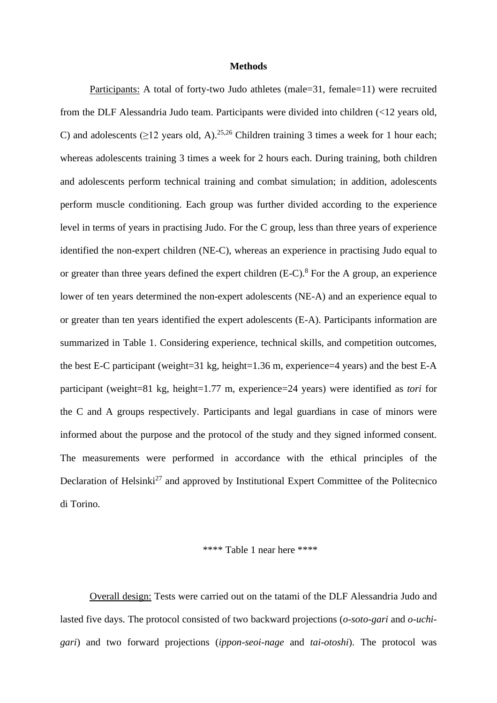#### **Methods**

Participants: A total of forty-two Judo athletes (male=31, female=11) were recruited from the DLF Alessandria Judo team. Participants were divided into children (<12 years old, C) and adolescents ( $\geq$ 12 years old, A).<sup>25,26</sup> Children training 3 times a week for 1 hour each; whereas adolescents training 3 times a week for 2 hours each. During training, both children and adolescents perform technical training and combat simulation; in addition, adolescents perform muscle conditioning. Each group was further divided according to the experience level in terms of years in practising Judo. For the C group, less than three years of experience identified the non-expert children (NE-C), whereas an experience in practising Judo equal to or greater than three years defined the expert children  $(E-C)^8$ . For the A group, an experience lower of ten years determined the non-expert adolescents (NE-A) and an experience equal to or greater than ten years identified the expert adolescents (E-A). Participants information are summarized in Table 1. Considering experience, technical skills, and competition outcomes, the best E-C participant (weight=31 kg, height=1.36 m, experience=4 years) and the best E-A participant (weight=81 kg, height=1.77 m, experience=24 years) were identified as *tori* for the C and A groups respectively. Participants and legal guardians in case of minors were informed about the purpose and the protocol of the study and they signed informed consent. The measurements were performed in accordance with the ethical principles of the Declaration of Helsinki<sup>27</sup> and approved by Institutional Expert Committee of the Politecnico di Torino.

#### \*\*\*\* Table 1 near here \*\*\*\*

Overall design: Tests were carried out on the tatami of the DLF Alessandria Judo and lasted five days. The protocol consisted of two backward projections (*o-soto-gari* and *o-uchigari*) and two forward projections (*ippon-seoi-nage* and *tai-otoshi*). The protocol was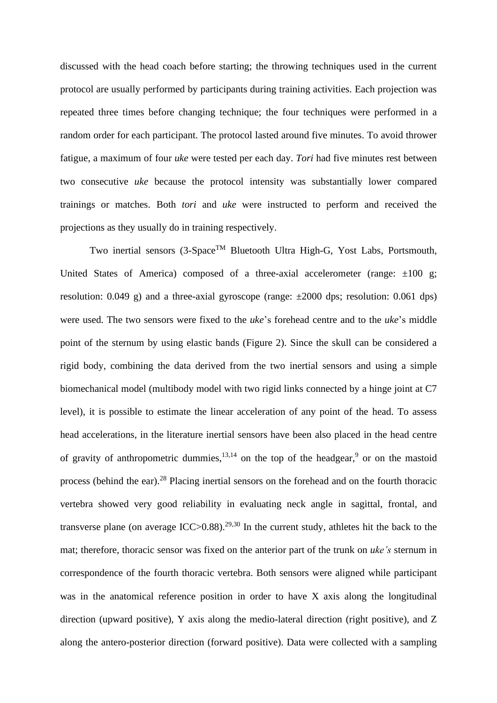discussed with the head coach before starting; the throwing techniques used in the current protocol are usually performed by participants during training activities. Each projection was repeated three times before changing technique; the four techniques were performed in a random order for each participant. The protocol lasted around five minutes. To avoid thrower fatigue, a maximum of four *uke* were tested per each day. *Tori* had five minutes rest between two consecutive *uke* because the protocol intensity was substantially lower compared trainings or matches. Both *tori* and *uke* were instructed to perform and received the projections as they usually do in training respectively.

Two inertial sensors (3-Space<sup>TM</sup> Bluetooth Ultra High-G, Yost Labs, Portsmouth, United States of America) composed of a three-axial accelerometer (range:  $\pm 100$  g; resolution:  $0.049$  g) and a three-axial gyroscope (range:  $\pm 2000$  dps; resolution:  $0.061$  dps) were used. The two sensors were fixed to the *uke*'s forehead centre and to the *uke*'s middle point of the sternum by using elastic bands (Figure 2). Since the skull can be considered a rigid body, combining the data derived from the two inertial sensors and using a simple biomechanical model (multibody model with two rigid links connected by a hinge joint at C7 level), it is possible to estimate the linear acceleration of any point of the head. To assess head accelerations, in the literature inertial sensors have been also placed in the head centre of gravity of anthropometric dummies,  $13,14$  on the top of the headgear,  $9$  or on the mastoid process (behind the ear).<sup>28</sup> Placing inertial sensors on the forehead and on the fourth thoracic vertebra showed very good reliability in evaluating neck angle in sagittal, frontal, and transverse plane (on average ICC $>0.88$ ).<sup>29,30</sup> In the current study, athletes hit the back to the mat; therefore, thoracic sensor was fixed on the anterior part of the trunk on *uke's* sternum in correspondence of the fourth thoracic vertebra. Both sensors were aligned while participant was in the anatomical reference position in order to have X axis along the longitudinal direction (upward positive), Y axis along the medio-lateral direction (right positive), and Z along the antero-posterior direction (forward positive). Data were collected with a sampling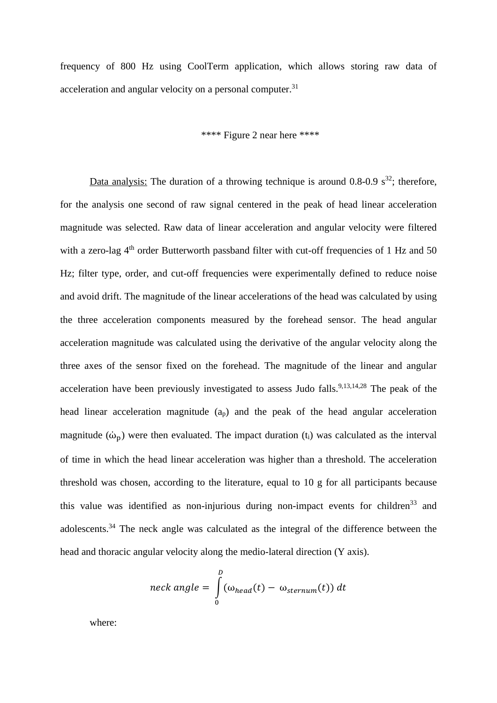frequency of 800 Hz using CoolTerm application, which allows storing raw data of acceleration and angular velocity on a personal computer.<sup>31</sup>

# \*\*\*\* Figure 2 near here \*\*\*\*

Data analysis: The duration of a throwing technique is around  $0.8{\text -}0.9 \text{ s}^{32}$ ; therefore, for the analysis one second of raw signal centered in the peak of head linear acceleration magnitude was selected. Raw data of linear acceleration and angular velocity were filtered with a zero-lag 4<sup>th</sup> order Butterworth passband filter with cut-off frequencies of 1 Hz and 50 Hz; filter type, order, and cut-off frequencies were experimentally defined to reduce noise and avoid drift. The magnitude of the linear accelerations of the head was calculated by using the three acceleration components measured by the forehead sensor. The head angular acceleration magnitude was calculated using the derivative of the angular velocity along the three axes of the sensor fixed on the forehead. The magnitude of the linear and angular acceleration have been previously investigated to assess Judo falls.<sup>9,13,14,28</sup> The peak of the head linear acceleration magnitude (ap) and the peak of the head angular acceleration magnitude  $(\dot{\omega}_n)$  were then evaluated. The impact duration (t<sub>i</sub>) was calculated as the interval of time in which the head linear acceleration was higher than a threshold. The acceleration threshold was chosen, according to the literature, equal to 10 g for all participants because this value was identified as non-injurious during non-impact events for children<sup>33</sup> and adolescents.<sup>34</sup> The neck angle was calculated as the integral of the difference between the head and thoracic angular velocity along the medio-lateral direction (Y axis).

$$
neck\,\,angle\,\, = \int_{0}^{D} (\omega_{head}(t) - \omega_{sternum}(t))\,dt
$$

where: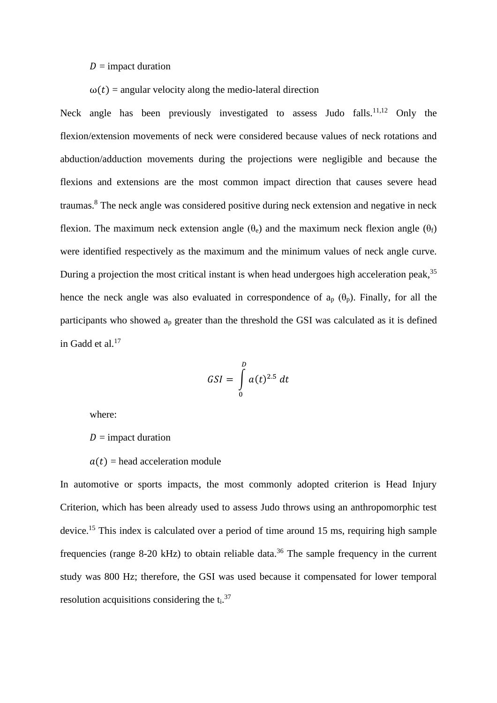## $D =$  impact duration

# $\omega(t)$  = angular velocity along the medio-lateral direction

Neck angle has been previously investigated to assess Judo falls.<sup>11,12</sup> Only the flexion/extension movements of neck were considered because values of neck rotations and abduction/adduction movements during the projections were negligible and because the flexions and extensions are the most common impact direction that causes severe head traumas.<sup>8</sup> The neck angle was considered positive during neck extension and negative in neck flexion. The maximum neck extension angle  $(\theta_e)$  and the maximum neck flexion angle  $(\theta_f)$ were identified respectively as the maximum and the minimum values of neck angle curve. During a projection the most critical instant is when head undergoes high acceleration peak,<sup>35</sup> hence the neck angle was also evaluated in correspondence of  $a_p$  ( $\theta_p$ ). Finally, for all the participants who showed a<sup>p</sup> greater than the threshold the GSI was calculated as it is defined in Gadd et al. 17

$$
GSI = \int\limits_{0}^{D} a(t)^{2.5} dt
$$

where:

 $D =$  impact duration

 $a(t)$  = head acceleration module

In automotive or sports impacts, the most commonly adopted criterion is Head Injury Criterion, which has been already used to assess Judo throws using an anthropomorphic test device.<sup>15</sup> This index is calculated over a period of time around 15 ms, requiring high sample frequencies (range 8-20 kHz) to obtain reliable data.<sup>36</sup> The sample frequency in the current study was 800 Hz; therefore, the GSI was used because it compensated for lower temporal resolution acquisitions considering the  $t_i$ .<sup>37</sup>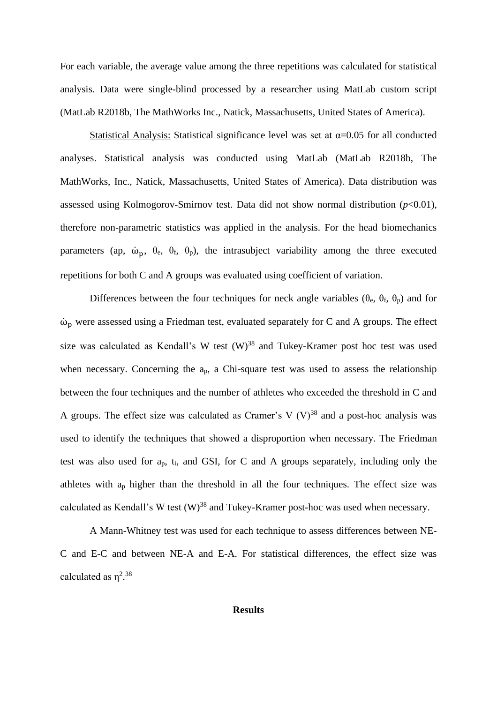For each variable, the average value among the three repetitions was calculated for statistical analysis. Data were single-blind processed by a researcher using MatLab custom script (MatLab R2018b, The MathWorks Inc., Natick, Massachusetts, United States of America).

Statistical Analysis: Statistical significance level was set at  $\alpha$ =0.05 for all conducted analyses. Statistical analysis was conducted using MatLab (MatLab R2018b, The MathWorks, Inc., Natick, Massachusetts, United States of America). Data distribution was assessed using Kolmogorov-Smirnov test. Data did not show normal distribution (*p*<0.01), therefore non-parametric statistics was applied in the analysis. For the head biomechanics parameters (ap,  $\dot{\omega}_p$ ,  $\theta_e$ ,  $\theta_f$ ,  $\theta_p$ ), the intrasubject variability among the three executed repetitions for both C and A groups was evaluated using coefficient of variation.

Differences between the four techniques for neck angle variables ( $\theta_e$ ,  $\theta_f$ ,  $\theta_p$ ) and for  $\dot{\omega}_p$  were assessed using a Friedman test, evaluated separately for C and A groups. The effect size was calculated as Kendall's W test  $(W)^{38}$  and Tukey-Kramer post hoc test was used when necessary. Concerning the  $a_p$ , a Chi-square test was used to assess the relationship between the four techniques and the number of athletes who exceeded the threshold in C and A groups. The effect size was calculated as Cramer's V  $(V)^{38}$  and a post-hoc analysis was used to identify the techniques that showed a disproportion when necessary. The Friedman test was also used for ap, ti, and GSI, for C and A groups separately, including only the athletes with a<sup>p</sup> higher than the threshold in all the four techniques. The effect size was calculated as Kendall's W test  $(W)^{38}$  and Tukey-Kramer post-hoc was used when necessary.

A Mann-Whitney test was used for each technique to assess differences between NE-C and E-C and between NE-A and E-A. For statistical differences, the effect size was calculated as  $\eta^{2.38}$ 

### **Results**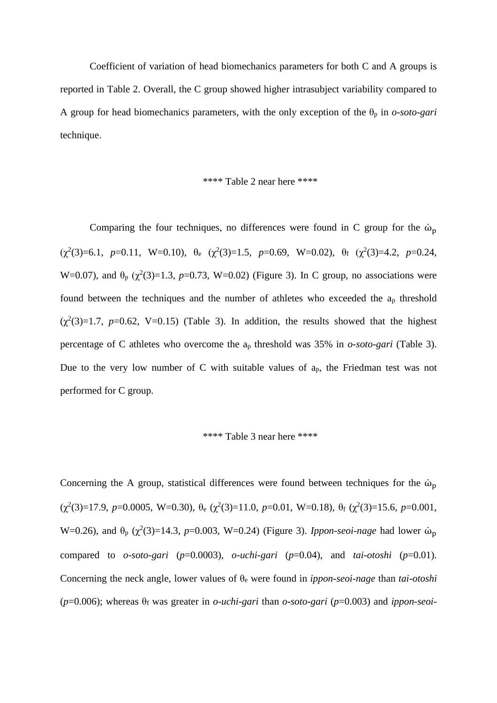Coefficient of variation of head biomechanics parameters for both C and A groups is reported in Table 2. Overall, the C group showed higher intrasubject variability compared to A group for head biomechanics parameters, with the only exception of the  $\theta_p$  in *o-soto-gari* technique.

### \*\*\*\* Table 2 near here \*\*\*\*

Comparing the four techniques, no differences were found in C group for the  $\dot{\omega}_p$  $(\chi^2(3)=6.1, p=0.11, W=0.10), \theta_e (\chi^2(3)=1.5, p=0.69, W=0.02), \theta_f (\chi^2(3)=4.2, p=0.24,$ W=0.07), and  $θ<sub>p</sub>$  ( $χ<sup>2</sup>(3)=1.3$ ,  $p=0.73$ , W=0.02) (Figure 3). In C group, no associations were found between the techniques and the number of athletes who exceeded the a<sup>p</sup> threshold  $(\chi^2(3)=1.7, p=0.62, V=0.15)$  (Table 3). In addition, the results showed that the highest percentage of C athletes who overcome the a<sup>p</sup> threshold was 35% in *o-soto-gari* (Table 3). Due to the very low number of C with suitable values of  $a_p$ , the Friedman test was not performed for C group.

### \*\*\*\* Table 3 near here \*\*\*\*

Concerning the A group, statistical differences were found between techniques for the  $\dot{\omega}_p$  $(\chi^2(3)=17.9, p=0.0005, W=0.30), \theta_e (\chi^2(3)=11.0, p=0.01, W=0.18), \theta_f (\chi^2(3)=15.6, p=0.001,$ W=0.26), and  $θ<sub>p</sub>$  ( $χ<sup>2</sup>(3)=14.3$ , *p*=0.003, W=0.24) (Figure 3). *Ippon-seoi-nage* had lower  $ω<sub>p</sub>$ compared to  $o\text{-}soto\text{-}gari$  ( $p=0.0003$ ),  $o\text{-}uchi\text{-}gari$  ( $p=0.04$ ), and  $tai\text{-}otoshi$  ( $p=0.01$ ). Concerning the neck angle, lower values of θ<sup>e</sup> were found in *ippon-seoi-nage* than *tai-otoshi* (*p*=0.006); whereas θ<sup>f</sup> was greater in *o-uchi-gari* than *o-soto-gari* (*p*=0.003) and *ippon-seoi-*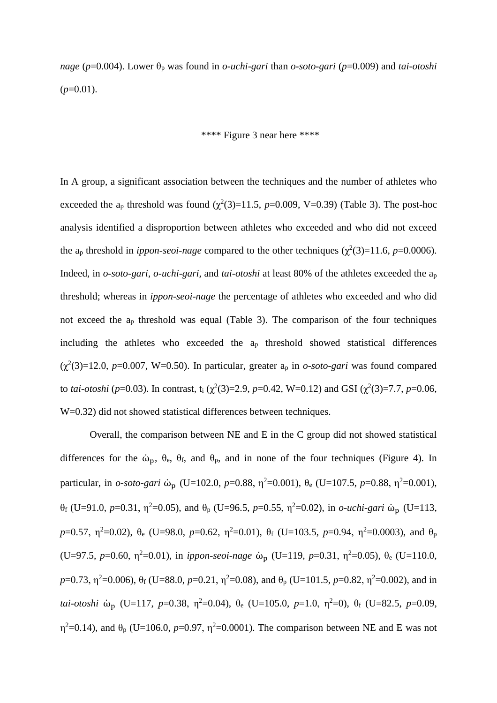*nage* (*p*=0.004). Lower θ<sup>p</sup> was found in *o-uchi-gari* than *o-soto-gari* (*p*=0.009) and *tai-otoshi*  $(p=0.01)$ .

## \*\*\*\* Figure 3 near here \*\*\*\*

In A group, a significant association between the techniques and the number of athletes who exceeded the a<sub>p</sub> threshold was found  $(\chi^2(3)=11.5, p=0.009, V=0.39)$  (Table 3). The post-hoc analysis identified a disproportion between athletes who exceeded and who did not exceed the a<sub>p</sub> threshold in *ippon-seoi-nage* compared to the other techniques ( $\chi^2(3)=11.6$ ,  $p=0.0006$ ). Indeed, in *o-soto-gari*, *o-uchi-gari*, and *tai-otoshi* at least 80% of the athletes exceeded the a<sup>p</sup> threshold; whereas in *ippon-seoi-nage* the percentage of athletes who exceeded and who did not exceed the a<sup>p</sup> threshold was equal (Table 3). The comparison of the four techniques including the athletes who exceeded the  $a<sub>p</sub>$  threshold showed statistical differences  $(\chi^2(3)=12.0, p=0.007, W=0.50)$ . In particular, greater a<sub>p</sub> in *o-soto-gari* was found compared to *tai-otoshi* ( $p=0.03$ ). In contrast, t<sub>i</sub> ( $\chi^2(3)=2.9$ ,  $p=0.42$ , W=0.12) and GSI ( $\chi^2(3)=7.7$ ,  $p=0.06$ , W=0.32) did not showed statistical differences between techniques.

Overall, the comparison between NE and E in the C group did not showed statistical differences for the  $\dot{\omega}_{p}$ ,  $\theta_{e}$ ,  $\theta_{f}$ , and  $\theta_{p}$ , and in none of the four techniques (Figure 4). In particular, in *o-soto-gari* ω<sup>*ρ*</sup> (U=102.0, *p*=0.88, η<sup>2</sup>=0.001), θ<sub>e</sub> (U=107.5, *p*=0.88, η<sup>2</sup>=0.001), θ<sub>f</sub> (U=91.0, *p*=0.31, η<sup>2</sup>=0.05), and θ<sub>p</sub> (U=96.5, *p*=0.55, η<sup>2</sup>=0.02), in *o-uchi-gari* ω<sup>n</sup><sub>p</sub> (U=113, *p*=0.57,  $\eta^2$ =0.02),  $\theta_e$  (U=98.0, *p*=0.62,  $\eta^2$ =0.01),  $\theta_f$  (U=103.5, *p*=0.94,  $\eta^2$ =0.0003), and  $\theta_p$ (U=97.5, *p*=0.60, η<sup>2</sup>=0.01), in *ippon-seoi-nage* ὼ<sub>p</sub> (U=119, *p*=0.31, η<sup>2</sup>=0.05), θ<sub>e</sub> (U=110.0,  $p=0.73$ ,  $\eta^2=0.006$ ),  $\theta_f$  (U=88.0,  $p=0.21$ ,  $\eta^2=0.08$ ), and  $\theta_p$  (U=101.5,  $p=0.82$ ,  $\eta^2=0.002$ ), and in *tai-otoshi*  $\dot{\omega}_p$  (U=117, *p*=0.38,  $\eta^2$ =0.04),  $\theta_e$  (U=105.0, *p*=1.0,  $\eta^2$ =0),  $\theta_f$  (U=82.5, *p*=0.09,  $\eta^2$ =0.14), and  $\theta_p$  (U=106.0, *p*=0.97,  $\eta^2$ =0.0001). The comparison between NE and E was not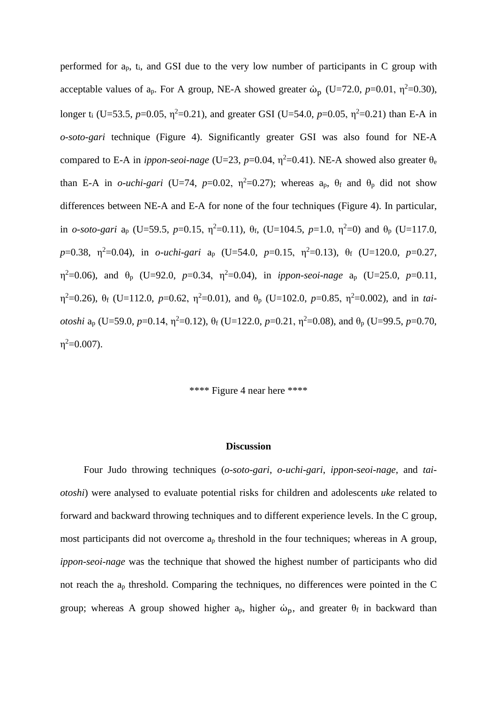performed for  $a_p$ ,  $t_i$ , and GSI due to the very low number of participants in C group with acceptable values of  $a_p$ . For A group, NE-A showed greater  $\dot{\omega}_p$  (U=72.0, *p*=0.01,  $\eta^2$ =0.30), longer t<sub>i</sub> (U=53.5, *p*=0.05,  $\eta^2$ =0.21), and greater GSI (U=54.0, *p*=0.05,  $\eta^2$ =0.21) than E-A in *o-soto-gari* technique (Figure 4). Significantly greater GSI was also found for NE-A compared to E-A in *ippon-seoi-nage* (U=23,  $p=0.04$ ,  $\eta^2=0.41$ ). NE-A showed also greater  $\theta_e$ than E-A in *o-uchi-gari* (U=74,  $p=0.02$ ,  $\eta^2=0.27$ ); whereas  $a_p$ ,  $\theta_f$  and  $\theta_p$  did not show differences between NE-A and E-A for none of the four techniques (Figure 4). In particular, in *o-soto-gari*  $a_p$  (U=59.5, *p*=0.15,  $\eta^2$ =0.11),  $\theta_f$ , (U=104.5, *p*=1.0,  $\eta^2$ =0) and  $\theta_p$  (U=117.0, *p*=0.38, η<sup>2</sup>=0.04), in *o-uchi-gari* a<sub>p</sub> (U=54.0, *p*=0.15, η<sup>2</sup>=0.13), θ<sub>f</sub> (U=120.0, *p*=0.27,  $η<sup>2</sup>=0.06$ ), and  $θ<sub>p</sub>$  (U=92.0, *p*=0.34,  $η<sup>2</sup>=0.04$ ), in *ippon-seoi-nage*  $a<sub>p</sub>$  (U=25.0, *p*=0.11,  $η<sup>2</sup>=0.26$ ), θ<sub>f</sub> (U=112.0, *p*=0.62,  $η<sup>2</sup>=0.01$ ), and θ<sub>p</sub> (U=102.0, *p*=0.85,  $η<sup>2</sup>=0.002$ ), and in *taiotoshi*  $a_p$  (U=59.0, *p*=0.14,  $\eta^2$ =0.12),  $\theta_f$  (U=122.0, *p*=0.21,  $\eta^2$ =0.08), and  $\theta_p$  (U=99.5, *p*=0.70,  $\eta^2 = 0.007$ ).

\*\*\*\* Figure 4 near here \*\*\*\*

#### **Discussion**

Four Judo throwing techniques (*o-soto-gari*, *o-uchi-gari*, *ippon-seoi-nage*, and *taiotoshi*) were analysed to evaluate potential risks for children and adolescents *uke* related to forward and backward throwing techniques and to different experience levels. In the C group, most participants did not overcome  $a_p$  threshold in the four techniques; whereas in A group, *ippon-seoi-nage* was the technique that showed the highest number of participants who did not reach the a<sup>p</sup> threshold. Comparing the techniques, no differences were pointed in the C group; whereas A group showed higher  $a_p$ , higher  $\dot{\omega}_p$ , and greater  $\theta_f$  in backward than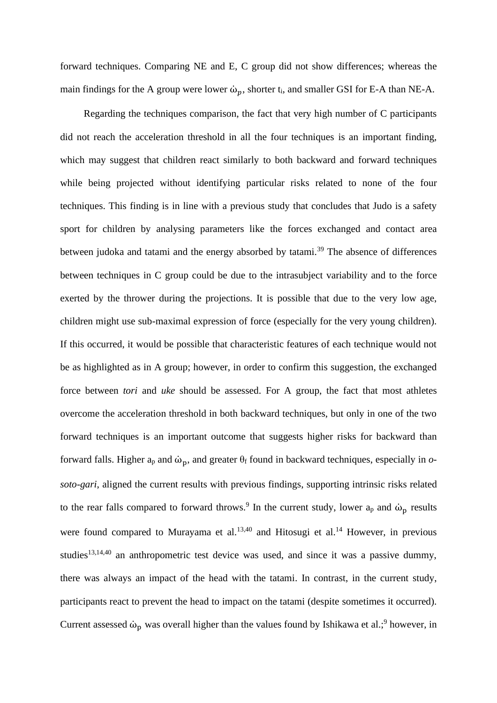forward techniques. Comparing NE and E, C group did not show differences; whereas the main findings for the A group were lower  $\dot{\omega}_p$ , shorter t<sub>i</sub>, and smaller GSI for E-A than NE-A.

Regarding the techniques comparison, the fact that very high number of C participants did not reach the acceleration threshold in all the four techniques is an important finding, which may suggest that children react similarly to both backward and forward techniques while being projected without identifying particular risks related to none of the four techniques. This finding is in line with a previous study that concludes that Judo is a safety sport for children by analysing parameters like the forces exchanged and contact area between judoka and tatami and the energy absorbed by tatami.<sup>39</sup> The absence of differences between techniques in C group could be due to the intrasubject variability and to the force exerted by the thrower during the projections. It is possible that due to the very low age, children might use sub-maximal expression of force (especially for the very young children). If this occurred, it would be possible that characteristic features of each technique would not be as highlighted as in A group; however, in order to confirm this suggestion, the exchanged force between *tori* and *uke* should be assessed. For A group, the fact that most athletes overcome the acceleration threshold in both backward techniques, but only in one of the two forward techniques is an important outcome that suggests higher risks for backward than forward falls. Higher  $a_p$  and  $ω_p$ , and greater  $θ_f$  found in backward techniques, especially in *osoto-gari*, aligned the current results with previous findings, supporting intrinsic risks related to the rear falls compared to forward throws.<sup>9</sup> In the current study, lower  $a_p$  and  $\dot{\omega}_p$  results were found compared to Murayama et al. $13,40$  and Hitosugi et al. $14$  However, in previous studies<sup>13,14,40</sup> an anthropometric test device was used, and since it was a passive dummy, there was always an impact of the head with the tatami. In contrast, in the current study, participants react to prevent the head to impact on the tatami (despite sometimes it occurred). Current assessed  $\dot{\omega}_p$  was overall higher than the values found by Ishikawa et al.;<sup>9</sup> however, in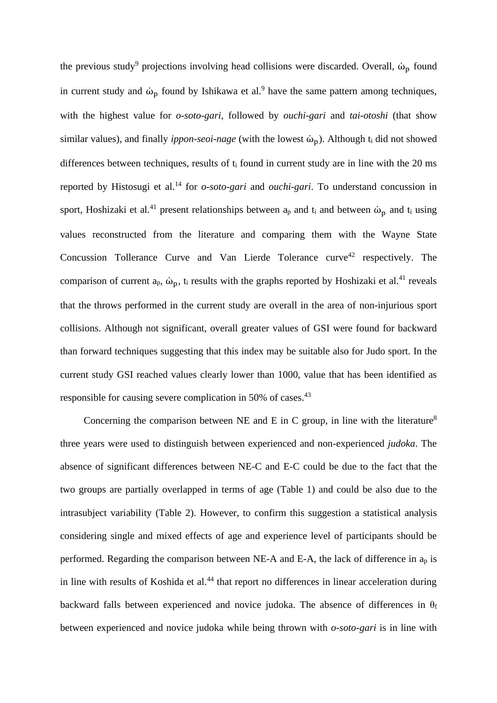the previous study<sup>9</sup> projections involving head collisions were discarded. Overall,  $\dot{\omega}_p$  found in current study and  $\dot{\omega}_p$  found by Ishikawa et al.<sup>9</sup> have the same pattern among techniques, with the highest value for *o-soto-gari*, followed by *ouchi-gari* and *tai-otoshi* (that show similar values), and finally *ippon-seoi-nage* (with the lowest ώ<sub>p</sub>). Although t<sub>i</sub> did not showed differences between techniques, results of t<sub>i</sub> found in current study are in line with the 20 ms reported by Histosugi et al.<sup>14</sup> for *o-soto-gari* and *ouchi-gari*. To understand concussion in sport, Hoshizaki et al.<sup>41</sup> present relationships between  $a_p$  and  $t_i$  and between  $\dot{\omega}_p$  and  $t_i$  using values reconstructed from the literature and comparing them with the Wayne State Concussion Tollerance Curve and Van Lierde Tolerance curve<sup>42</sup> respectively. The comparison of current  $a_p$ ,  $\dot{\omega}_p$ ,  $t_i$  results with the graphs reported by Hoshizaki et al.<sup>41</sup> reveals that the throws performed in the current study are overall in the area of non-injurious sport collisions. Although not significant, overall greater values of GSI were found for backward than forward techniques suggesting that this index may be suitable also for Judo sport. In the current study GSI reached values clearly lower than 1000, value that has been identified as responsible for causing severe complication in 50% of cases.<sup>43</sup>

Concerning the comparison between NE and E in C group, in line with the literature<sup>8</sup> three years were used to distinguish between experienced and non-experienced *judoka*. The absence of significant differences between NE-C and E-C could be due to the fact that the two groups are partially overlapped in terms of age (Table 1) and could be also due to the intrasubject variability (Table 2). However, to confirm this suggestion a statistical analysis considering single and mixed effects of age and experience level of participants should be performed. Regarding the comparison between NE-A and E-A, the lack of difference in a<sup>p</sup> is in line with results of Koshida et al. $44$  that report no differences in linear acceleration during backward falls between experienced and novice judoka. The absence of differences in  $\theta_f$ between experienced and novice judoka while being thrown with *o-soto-gari* is in line with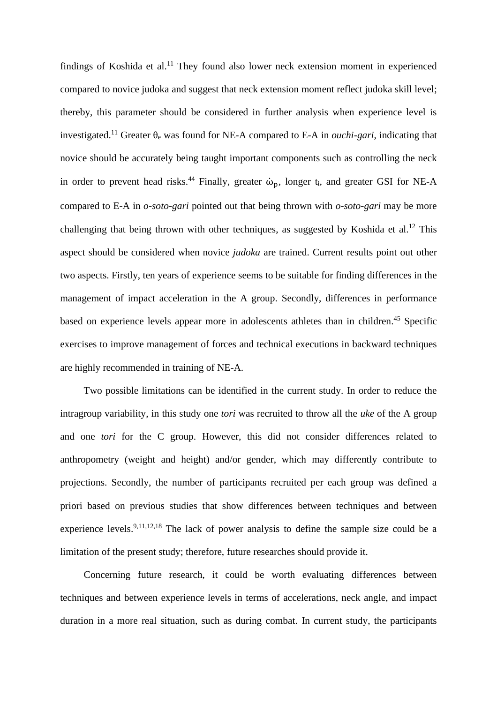findings of Koshida et al.<sup>11</sup> They found also lower neck extension moment in experienced compared to novice judoka and suggest that neck extension moment reflect judoka skill level; thereby, this parameter should be considered in further analysis when experience level is investigated. <sup>11</sup> Greater θ<sup>e</sup> was found for NE-A compared to E-A in *ouchi-gari*, indicating that novice should be accurately being taught important components such as controlling the neck in order to prevent head risks.<sup>44</sup> Finally, greater  $\dot{\omega}_p$ , longer t<sub>i</sub>, and greater GSI for NE-A compared to E-A in *o-soto-gari* pointed out that being thrown with *o-soto-gari* may be more challenging that being thrown with other techniques, as suggested by Koshida et al.<sup>12</sup> This aspect should be considered when novice *judoka* are trained. Current results point out other two aspects. Firstly, ten years of experience seems to be suitable for finding differences in the management of impact acceleration in the A group. Secondly, differences in performance based on experience levels appear more in adolescents athletes than in children. <sup>45</sup> Specific exercises to improve management of forces and technical executions in backward techniques are highly recommended in training of NE-A.

Two possible limitations can be identified in the current study. In order to reduce the intragroup variability, in this study one *tori* was recruited to throw all the *uke* of the A group and one *tori* for the C group. However, this did not consider differences related to anthropometry (weight and height) and/or gender, which may differently contribute to projections. Secondly, the number of participants recruited per each group was defined a priori based on previous studies that show differences between techniques and between experience levels.<sup>9,11,12,18</sup> The lack of power analysis to define the sample size could be a limitation of the present study; therefore, future researches should provide it.

Concerning future research, it could be worth evaluating differences between techniques and between experience levels in terms of accelerations, neck angle, and impact duration in a more real situation, such as during combat. In current study, the participants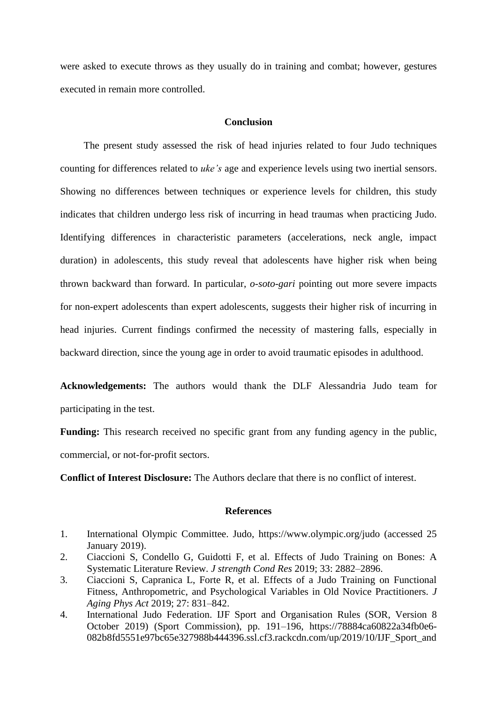were asked to execute throws as they usually do in training and combat; however, gestures executed in remain more controlled.

## **Conclusion**

The present study assessed the risk of head injuries related to four Judo techniques counting for differences related to *uke's* age and experience levels using two inertial sensors. Showing no differences between techniques or experience levels for children, this study indicates that children undergo less risk of incurring in head traumas when practicing Judo. Identifying differences in characteristic parameters (accelerations, neck angle, impact duration) in adolescents, this study reveal that adolescents have higher risk when being thrown backward than forward. In particular, *o-soto-gari* pointing out more severe impacts for non-expert adolescents than expert adolescents, suggests their higher risk of incurring in head injuries. Current findings confirmed the necessity of mastering falls, especially in backward direction, since the young age in order to avoid traumatic episodes in adulthood.

**Acknowledgements:** The authors would thank the DLF Alessandria Judo team for participating in the test.

**Funding:** This research received no specific grant from any funding agency in the public, commercial, or not-for-profit sectors.

**Conflict of Interest Disclosure:** The Authors declare that there is no conflict of interest.

#### **References**

- 1. International Olympic Committee. Judo, https://www.olympic.org/judo (accessed 25 January 2019).
- 2. Ciaccioni S, Condello G, Guidotti F, et al. Effects of Judo Training on Bones: A Systematic Literature Review. *J strength Cond Res* 2019; 33: 2882–2896.
- 3. Ciaccioni S, Capranica L, Forte R, et al. Effects of a Judo Training on Functional Fitness, Anthropometric, and Psychological Variables in Old Novice Practitioners. *J Aging Phys Act* 2019; 27: 831–842.
- 4. International Judo Federation. IJF Sport and Organisation Rules (SOR, Version 8 October 2019) (Sport Commission), pp. 191–196, https://78884ca60822a34fb0e6- 082b8fd5551e97bc65e327988b444396.ssl.cf3.rackcdn.com/up/2019/10/IJF\_Sport\_and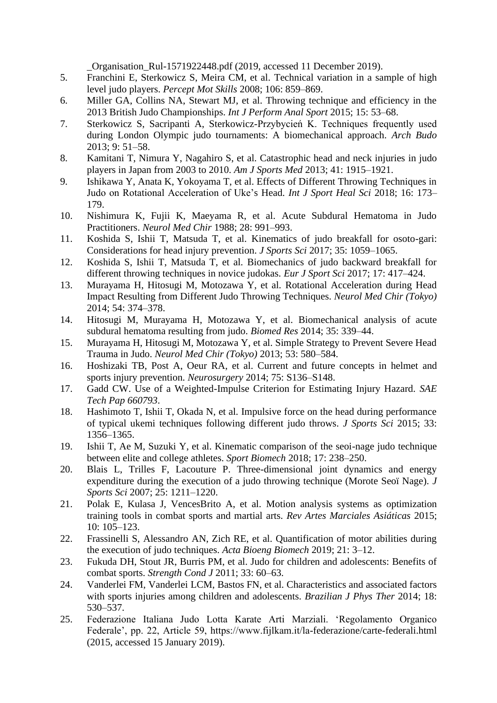\_Organisation\_Rul-1571922448.pdf (2019, accessed 11 December 2019).

- 5. Franchini E, Sterkowicz S, Meira CM, et al. Technical variation in a sample of high level judo players. *Percept Mot Skills* 2008; 106: 859–869.
- 6. Miller GA, Collins NA, Stewart MJ, et al. Throwing technique and efficiency in the 2013 British Judo Championships. *Int J Perform Anal Sport* 2015; 15: 53–68.
- 7. Sterkowicz S, Sacripanti A, Sterkowicz-Przybycień K. Techniques frequently used during London Olympic judo tournaments: A biomechanical approach. *Arch Budo* 2013; 9: 51–58.
- 8. Kamitani T, Nimura Y, Nagahiro S, et al. Catastrophic head and neck injuries in judo players in Japan from 2003 to 2010. *Am J Sports Med* 2013; 41: 1915–1921.
- 9. Ishikawa Y, Anata K, Yokoyama T, et al. Effects of Different Throwing Techniques in Judo on Rotational Acceleration of Uke's Head. *Int J Sport Heal Sci* 2018; 16: 173– 179.
- 10. Nishimura K, Fujii K, Maeyama R, et al. Acute Subdural Hematoma in Judo Practitioners. *Neurol Med Chir* 1988; 28: 991–993.
- 11. Koshida S, Ishii T, Matsuda T, et al. Kinematics of judo breakfall for osoto-gari: Considerations for head injury prevention. *J Sports Sci* 2017; 35: 1059–1065.
- 12. Koshida S, Ishii T, Matsuda T, et al. Biomechanics of judo backward breakfall for different throwing techniques in novice judokas. *Eur J Sport Sci* 2017; 17: 417–424.
- 13. Murayama H, Hitosugi M, Motozawa Y, et al. Rotational Acceleration during Head Impact Resulting from Different Judo Throwing Techniques. *Neurol Med Chir (Tokyo)* 2014; 54: 374–378.
- 14. Hitosugi M, Murayama H, Motozawa Y, et al. Biomechanical analysis of acute subdural hematoma resulting from judo. *Biomed Res* 2014; 35: 339–44.
- 15. Murayama H, Hitosugi M, Motozawa Y, et al. Simple Strategy to Prevent Severe Head Trauma in Judo. *Neurol Med Chir (Tokyo)* 2013; 53: 580–584.
- 16. Hoshizaki TB, Post A, Oeur RA, et al. Current and future concepts in helmet and sports injury prevention. *Neurosurgery* 2014; 75: S136–S148.
- 17. Gadd CW. Use of a Weighted-Impulse Criterion for Estimating Injury Hazard. *SAE Tech Pap 660793*.
- 18. Hashimoto T, Ishii T, Okada N, et al. Impulsive force on the head during performance of typical ukemi techniques following different judo throws. *J Sports Sci* 2015; 33: 1356–1365.
- 19. Ishii T, Ae M, Suzuki Y, et al. Kinematic comparison of the seoi-nage judo technique between elite and college athletes. *Sport Biomech* 2018; 17: 238–250.
- 20. Blais L, Trilles F, Lacouture P. Three-dimensional joint dynamics and energy expenditure during the execution of a judo throwing technique (Morote Seoï Nage). *J Sports Sci* 2007; 25: 1211–1220.
- 21. Polak E, Kulasa J, VencesBrito A, et al. Motion analysis systems as optimization training tools in combat sports and martial arts. *Rev Artes Marciales Asiáticas* 2015; 10: 105–123.
- 22. Frassinelli S, Alessandro AN, Zich RE, et al. Quantification of motor abilities during the execution of judo techniques. *Acta Bioeng Biomech* 2019; 21: 3–12.
- 23. Fukuda DH, Stout JR, Burris PM, et al. Judo for children and adolescents: Benefits of combat sports. *Strength Cond J* 2011; 33: 60–63.
- 24. Vanderlei FM, Vanderlei LCM, Bastos FN, et al. Characteristics and associated factors with sports injuries among children and adolescents. *Brazilian J Phys Ther* 2014; 18: 530–537.
- 25. Federazione Italiana Judo Lotta Karate Arti Marziali. 'Regolamento Organico Federale', pp. 22, Article 59, https://www.fijlkam.it/la-federazione/carte-federali.html (2015, accessed 15 January 2019).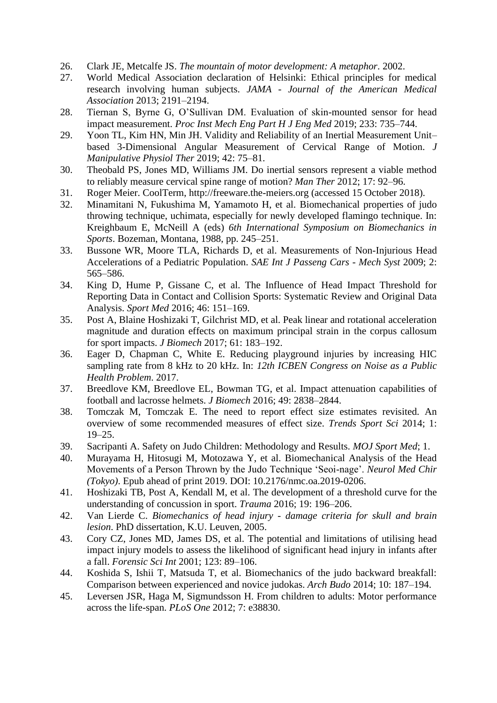- 26. Clark JE, Metcalfe JS. *The mountain of motor development: A metaphor*. 2002.
- 27. World Medical Association declaration of Helsinki: Ethical principles for medical research involving human subjects. *JAMA - Journal of the American Medical Association* 2013; 2191–2194.
- 28. Tiernan S, Byrne G, O'Sullivan DM. Evaluation of skin-mounted sensor for head impact measurement. *Proc Inst Mech Eng Part H J Eng Med* 2019; 233: 735–744.
- 29. Yoon TL, Kim HN, Min JH. Validity and Reliability of an Inertial Measurement Unit– based 3-Dimensional Angular Measurement of Cervical Range of Motion. *J Manipulative Physiol Ther* 2019; 42: 75–81.
- 30. Theobald PS, Jones MD, Williams JM. Do inertial sensors represent a viable method to reliably measure cervical spine range of motion? *Man Ther* 2012; 17: 92–96.
- 31. Roger Meier. CoolTerm, http://freeware.the-meiers.org (accessed 15 October 2018).
- 32. Minamitani N, Fukushima M, Yamamoto H, et al. Biomechanical properties of judo throwing technique, uchimata, especially for newly developed flamingo technique. In: Kreighbaum E, McNeill A (eds) *6th International Symposium on Biomechanics in Sports*. Bozeman, Montana, 1988, pp. 245–251.
- 33. Bussone WR, Moore TLA, Richards D, et al. Measurements of Non-Injurious Head Accelerations of a Pediatric Population. *SAE Int J Passeng Cars - Mech Syst* 2009; 2: 565–586.
- 34. King D, Hume P, Gissane C, et al. The Influence of Head Impact Threshold for Reporting Data in Contact and Collision Sports: Systematic Review and Original Data Analysis. *Sport Med* 2016; 46: 151–169.
- 35. Post A, Blaine Hoshizaki T, Gilchrist MD, et al. Peak linear and rotational acceleration magnitude and duration effects on maximum principal strain in the corpus callosum for sport impacts. *J Biomech* 2017; 61: 183–192.
- 36. Eager D, Chapman C, White E. Reducing playground injuries by increasing HIC sampling rate from 8 kHz to 20 kHz. In: *12th ICBEN Congress on Noise as a Public Health Problem*. 2017.
- 37. Breedlove KM, Breedlove EL, Bowman TG, et al. Impact attenuation capabilities of football and lacrosse helmets. *J Biomech* 2016; 49: 2838–2844.
- 38. Tomczak M, Tomczak E. The need to report effect size estimates revisited. An overview of some recommended measures of effect size. *Trends Sport Sci* 2014; 1: 19–25.
- 39. Sacripanti A. Safety on Judo Children: Methodology and Results. *MOJ Sport Med*; 1.
- 40. Murayama H, Hitosugi M, Motozawa Y, et al. Biomechanical Analysis of the Head Movements of a Person Thrown by the Judo Technique 'Seoi-nage'. *Neurol Med Chir (Tokyo)*. Epub ahead of print 2019. DOI: 10.2176/nmc.oa.2019-0206.
- 41. Hoshizaki TB, Post A, Kendall M, et al. The development of a threshold curve for the understanding of concussion in sport. *Trauma* 2016; 19: 196–206.
- 42. Van Lierde C. *Biomechanics of head injury - damage criteria for skull and brain lesion*. PhD dissertation, K.U. Leuven, 2005.
- 43. Cory CZ, Jones MD, James DS, et al. The potential and limitations of utilising head impact injury models to assess the likelihood of significant head injury in infants after a fall. *Forensic Sci Int* 2001; 123: 89–106.
- 44. Koshida S, Ishii T, Matsuda T, et al. Biomechanics of the judo backward breakfall: Comparison between experienced and novice judokas. *Arch Budo* 2014; 10: 187–194.
- 45. Leversen JSR, Haga M, Sigmundsson H. From children to adults: Motor performance across the life-span. *PLoS One* 2012; 7: e38830.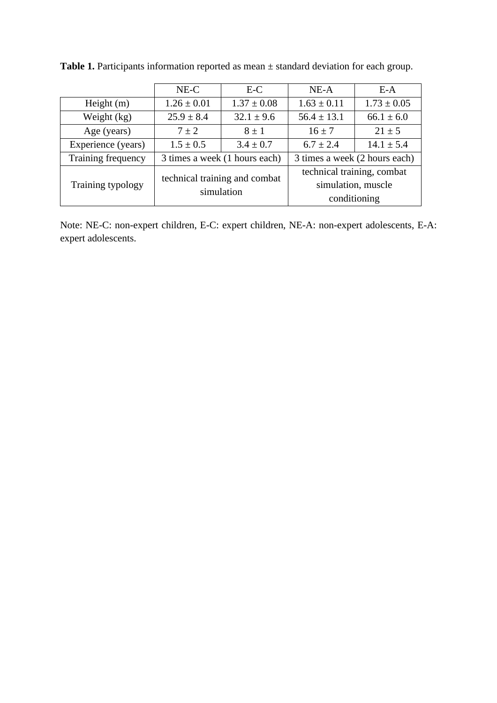|                    | $E-C$<br>$NE-C$                             |                 | $NE-A$                                                           | $E-A$           |  |
|--------------------|---------------------------------------------|-----------------|------------------------------------------------------------------|-----------------|--|
| Height $(m)$       | $1.26 \pm 0.01$                             | $1.37 \pm 0.08$ | $1.63 \pm 0.11$                                                  | $1.73 \pm 0.05$ |  |
| Weight (kg)        | $25.9 \pm 8.4$                              | $32.1 \pm 9.6$  | $56.4 \pm 13.1$                                                  | $66.1 \pm 6.0$  |  |
| Age (years)        | $7 \pm 2$                                   | $8 \pm 1$       | $16 \pm 7$                                                       | $21 \pm 5$      |  |
| Experience (years) | $1.5 \pm 0.5$                               | $3.4 \pm 0.7$   | $6.7 \pm 2.4$                                                    | $14.1 \pm 5.4$  |  |
| Training frequency | 3 times a week (1 hours each)               |                 | 3 times a week (2 hours each)                                    |                 |  |
| Training typology  | technical training and combat<br>simulation |                 | technical training, combat<br>simulation, muscle<br>conditioning |                 |  |

Table 1. Participants information reported as mean  $\pm$  standard deviation for each group.

Note: NE-C: non-expert children, E-C: expert children, NE-A: non-expert adolescents, E-A: expert adolescents.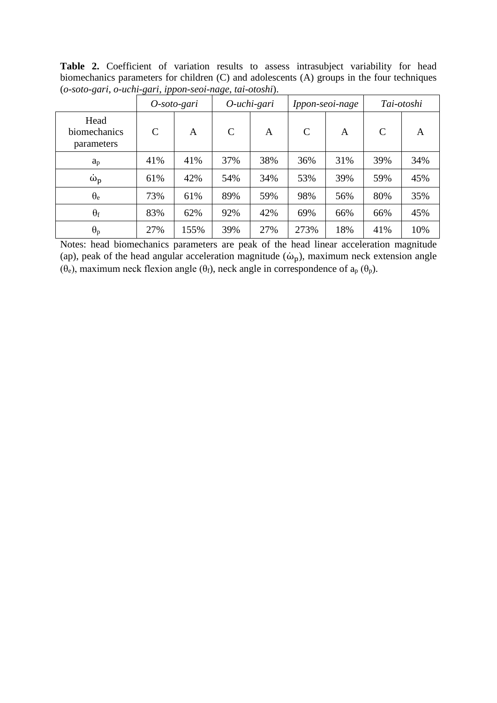Table 2. Coefficient of variation results to assess intrasubject variability for head biomechanics parameters for children (C) and adolescents (A) groups in the four techniques (*o-soto-gari*, *o-uchi-gari*, *ippon-seoi-nage*, *tai-otoshi*).

| $\cdot$                            |               | O-soto-gari | ີ<br>O-uchi-gari |     | Ippon-seoi-nage |                | Tai-otoshi    |     |
|------------------------------------|---------------|-------------|------------------|-----|-----------------|----------------|---------------|-----|
| Head<br>biomechanics<br>parameters | $\mathcal{C}$ | A           | $\mathcal{C}$    | A   | $\mathsf{C}$    | $\overline{A}$ | $\mathcal{C}$ | A   |
| $a_p$                              | 41%           | 41%         | 37%              | 38% | 36%             | 31%            | 39%           | 34% |
| $\dot{\omega}_p$                   | 61%           | 42%         | 54%              | 34% | 53%             | 39%            | 59%           | 45% |
| $\theta_e$                         | 73%           | 61%         | 89%              | 59% | 98%             | 56%            | 80%           | 35% |
| $\theta_f$                         | 83%           | 62%         | 92%              | 42% | 69%             | 66%            | 66%           | 45% |
| $\theta_p$                         | 27%           | 155%        | 39%              | 27% | 273%            | 18%            | 41%           | 10% |

Notes: head biomechanics parameters are peak of the head linear acceleration magnitude (ap), peak of the head angular acceleration magnitude ( $\dot{\omega}_p$ ), maximum neck extension angle (θ<sub>e</sub>), maximum neck flexion angle (θ<sub>f</sub>), neck angle in correspondence of  $a_p$  (θ<sub>p</sub>).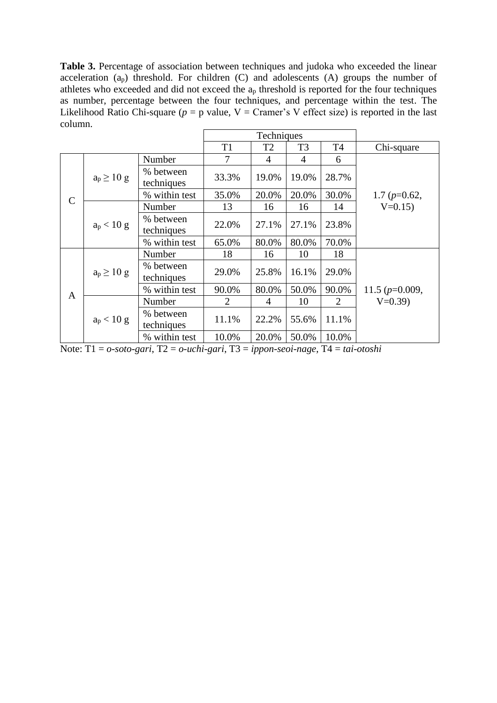**Table 3.** Percentage of association between techniques and judoka who exceeded the linear acceleration  $(a_p)$  threshold. For children  $(C)$  and adolescents  $(A)$  groups the number of athletes who exceeded and did not exceed the  $a_p$  threshold is reported for the four techniques as number, percentage between the four techniques, and percentage within the test. The Likelihood Ratio Chi-square ( $p = p$  value,  $V = C$ ramer's V effect size) is reported in the last column.

|              |                 |                         | Techniques |                |                |                |                  |  |
|--------------|-----------------|-------------------------|------------|----------------|----------------|----------------|------------------|--|
|              |                 |                         | T1         | T <sub>2</sub> | T <sub>3</sub> | T <sub>4</sub> | Chi-square       |  |
| $\mathsf{C}$ | $a_p \geq 10$ g | Number                  | 7          | 4              | $\overline{4}$ | 6              |                  |  |
|              |                 | % between<br>techniques | 33.3%      | 19.0%          | 19.0%          | 28.7%          |                  |  |
|              |                 | % within test           | 35.0%      | 20.0%          | 20.0%          | 30.0%          | 1.7 $(p=0.62,$   |  |
|              | $a_p < 10 g$    | Number                  | 13         | 16             | 16             | 14             | $V=0.15$         |  |
|              |                 | % between<br>techniques | 22.0%      | 27.1%          | 27.1%          | 23.8%          |                  |  |
|              |                 | % within test           | 65.0%      | 80.0%          | 80.0%          | 70.0%          |                  |  |
| $\mathbf{A}$ |                 | Number                  | 18         | 16             | 10             | 18             |                  |  |
|              | $a_p \ge 10$ g  | % between<br>techniques | 29.0%      | 25.8%          | 16.1%          | 29.0%          |                  |  |
|              |                 | % within test           | 90.0%      | 80.0%          | 50.0%          | 90.0%          | 11.5 $(p=0.009,$ |  |
|              | $a_p < 10 g$    | Number                  | 2          | 4              | 10             | 2              | $V=0.39$         |  |
|              |                 | % between<br>techniques | 11.1%      | 22.2%          | 55.6%          | 11.1%          |                  |  |
|              |                 | % within test           | 10.0%      | 20.0%          | 50.0%          | 10.0%          |                  |  |

Note: T1 = *o-soto-gari*, T2 = *o-uchi-gari*, T3 = *ippon-seoi-nage*, T4 = *tai-otoshi*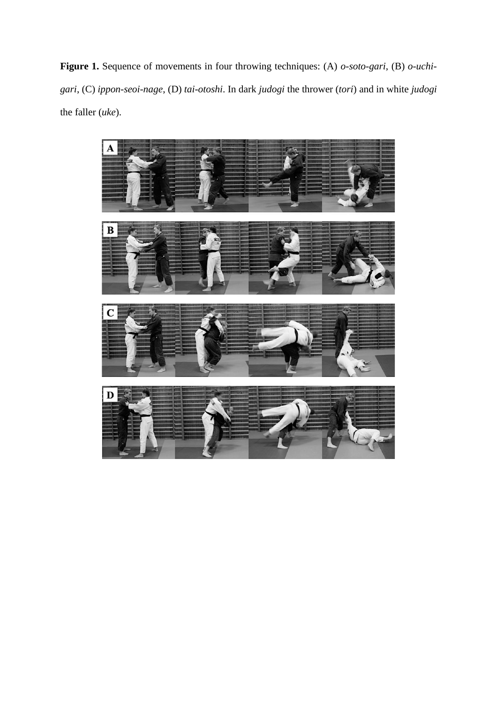**Figure 1.** Sequence of movements in four throwing techniques: (A) *o-soto-gari*, (B) *o-uchigari*, (C) *ippon-seoi-nage*, (D) *tai-otoshi*. In dark *judogi* the thrower (*tori*) and in white *judogi* the faller (*uke*).

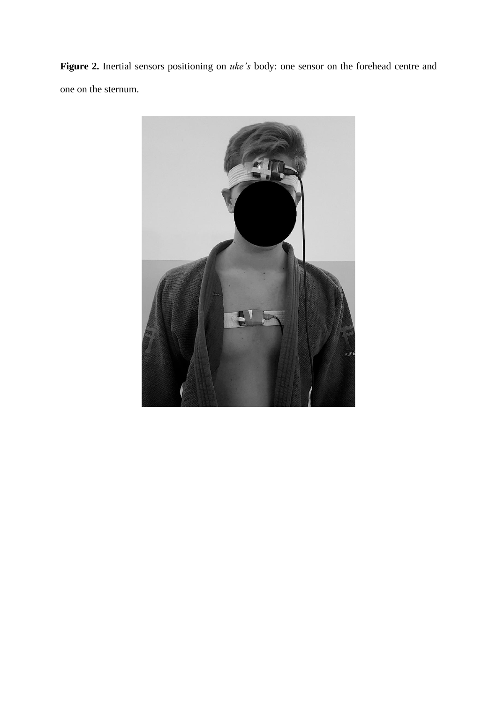**Figure 2.** Inertial sensors positioning on *uke's* body: one sensor on the forehead centre and one on the sternum.

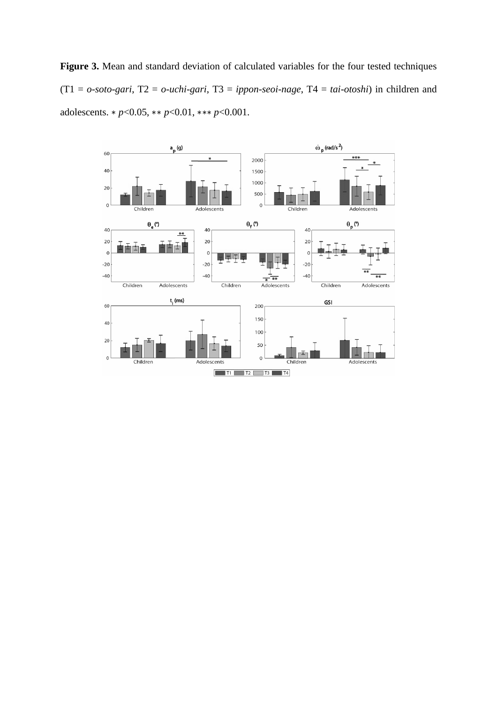**Figure 3.** Mean and standard deviation of calculated variables for the four tested techniques (T1 = *o-soto-gari*, T2 = *o-uchi-gari*, T3 = *ippon-seoi-nage*, T4 = *tai-otoshi*) in children and adolescents. ∗ *p*<0.05, ∗∗ *p*<0.01, ∗∗∗ *p*<0.001.